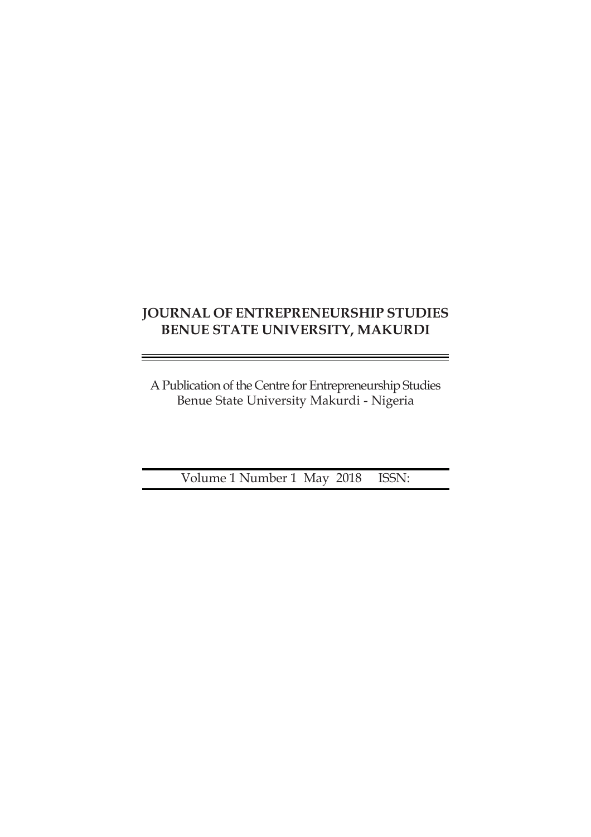# **JOURNAL OF ENTREPRENEURSHIP STUDIES BENUE STATE UNIVERSITY, MAKURDI**

A Publication of the Centre for Entrepreneurship Studies Benue State University Makurdi - Nigeria

Volume 1 Number 1 May 2018 ISSN: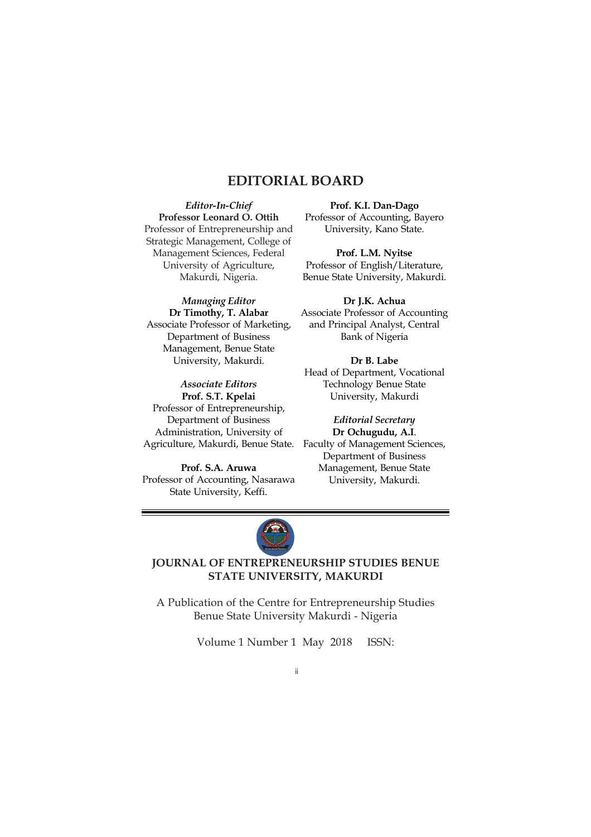# **EDITORIAL BOARD**

*Editor-In-Chief* **Professor Leonard O. Ottih** Professor of Entrepreneurship and Strategic Management, College of Management Sciences, Federal University of Agriculture, Makurdi, Nigeria.

*Managing Editor* **Dr Timothy, T. Alabar** Associate Professor of Marketing, Department of Business Management, Benue State University, Makurdi.

*Associate Editors* **Prof. S.T. Kpelai** Professor of Entrepreneurship, Department of Business Administration, University of

**Prof. S.A. Aruwa** Professor of Accounting, Nasarawa State University, Keffi.

**Prof. K.I. Dan-Dago** Professor of Accounting, Bayero University, Kano State.

**Prof. L.M. Nyitse** Professor of English/Literature, Benue State University, Makurdi.

**Dr J.K. Achua** Associate Professor of Accounting and Principal Analyst, Central Bank of Nigeria

**Dr B. Labe** Head of Department, Vocational Technology Benue State University, Makurdi

Agriculture, Makurdi, Benue State. Faculty of Management Sciences, *Editorial Secretary* **Dr Ochugudu, A.I**. Department of Business Management, Benue State University, Makurdi.



# **JOURNAL OF ENTREPRENEURSHIP STUDIES BENUE STATE UNIVERSITY, MAKURDI**

A Publication of the Centre for Entrepreneurship Studies Benue State University Makurdi - Nigeria

Volume 1 Number 1 May 2018 ISSN:

ii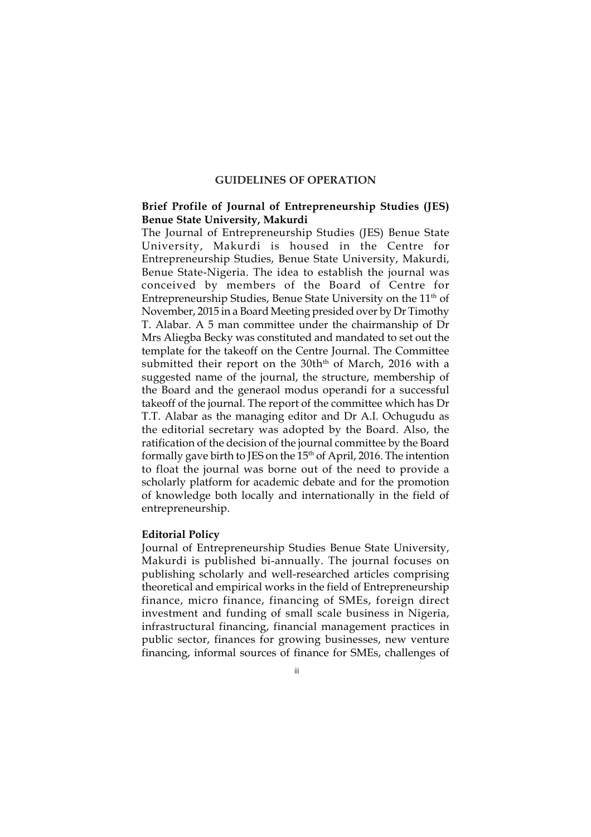## **GUIDELINES OF OPERATION**

## **Brief Profile of Journal of Entrepreneurship Studies (JES) Benue State University, Makurdi**

The Journal of Entrepreneurship Studies (JES) Benue State University, Makurdi is housed in the Centre for Entrepreneurship Studies, Benue State University, Makurdi, Benue State-Nigeria. The idea to establish the journal was conceived by members of the Board of Centre for Entrepreneurship Studies, Benue State University on the 11<sup>th</sup> of November, 2015 in a Board Meeting presided over by Dr Timothy T. Alabar. A 5 man committee under the chairmanship of Dr Mrs Aliegba Becky was constituted and mandated to set out the template for the takeoff on the Centre Journal. The Committee submitted their report on the 30th<sup>th</sup> of March, 2016 with a suggested name of the journal, the structure, membership of the Board and the generaol modus operandi for a successful takeoff of the journal. The report of the committee which has Dr T.T. Alabar as the managing editor and Dr A.I. Ochugudu as the editorial secretary was adopted by the Board. Also, the ratification of the decision of the journal committee by the Board formally gave birth to JES on the  $15<sup>th</sup>$  of April, 2016. The intention to float the journal was borne out of the need to provide a scholarly platform for academic debate and for the promotion of knowledge both locally and internationally in the field of entrepreneurship.

#### **Editorial Policy**

Journal of Entrepreneurship Studies Benue State University, Makurdi is published bi-annually. The journal focuses on publishing scholarly and well-researched articles comprising theoretical and empirical works in the field of Entrepreneurship finance, micro finance, financing of SMEs, foreign direct investment and funding of small scale business in Nigeria, infrastructural financing, financial management practices in public sector, finances for growing businesses, new venture financing, informal sources of finance for SMEs, challenges of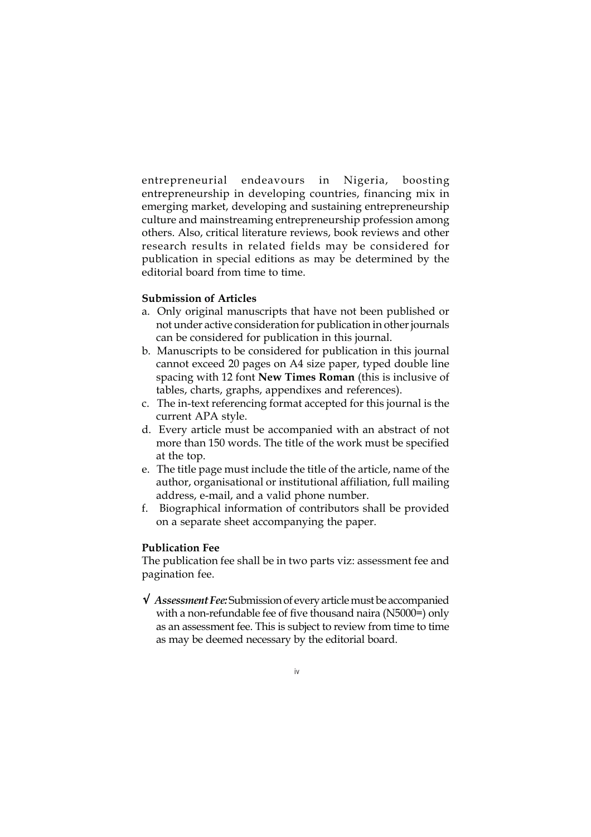entrepreneurial endeavours in Nigeria, boosting entrepreneurship in developing countries, financing mix in emerging market, developing and sustaining entrepreneurship culture and mainstreaming entrepreneurship profession among others. Also, critical literature reviews, book reviews and other research results in related fields may be considered for publication in special editions as may be determined by the editorial board from time to time.

# **Submission of Articles**

- a. Only original manuscripts that have not been published or not under active consideration for publication in other journals can be considered for publication in this journal.
- b. Manuscripts to be considered for publication in this journal cannot exceed 20 pages on A4 size paper, typed double line spacing with 12 font **New Times Roman** (this is inclusive of tables, charts, graphs, appendixes and references).
- c. The in-text referencing format accepted for this journal is the current APA style.
- d. Every article must be accompanied with an abstract of not more than 150 words. The title of the work must be specified at the top.
- e. The title page must include the title of the article, name of the author, organisational or institutional affiliation, full mailing address, e-mail, and a valid phone number.
- f. Biographical information of contributors shall be provided on a separate sheet accompanying the paper.

#### **Publication Fee**

The publication fee shall be in two parts viz: assessment fee and pagination fee.

√ *Assessment Fee:* Submission of every article must be accompanied with a non-refundable fee of five thousand naira (N5000=) only as an assessment fee. This is subject to review from time to time as may be deemed necessary by the editorial board.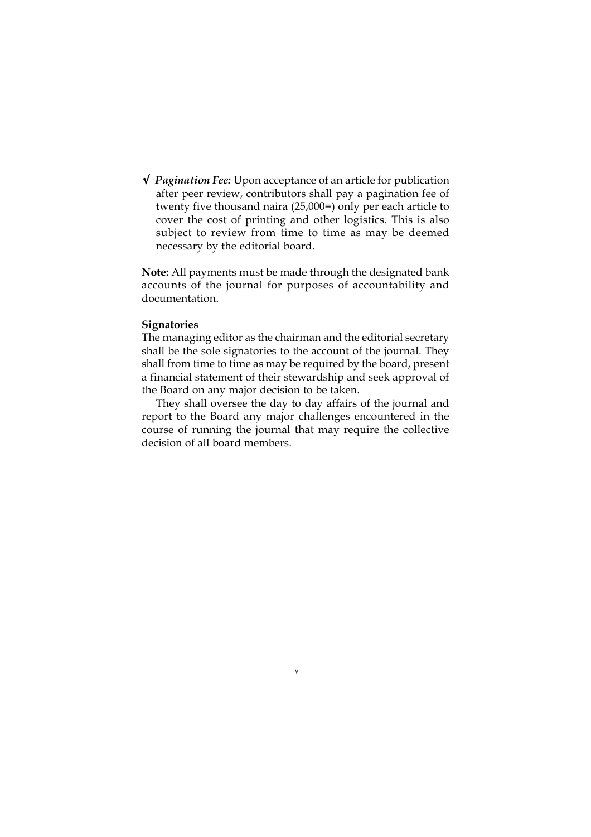√ *Pagination Fee:* Upon acceptance of an article for publication after peer review, contributors shall pay a pagination fee of twenty five thousand naira (25,000=) only per each article to cover the cost of printing and other logistics. This is also subject to review from time to time as may be deemed necessary by the editorial board.

**Note:** All payments must be made through the designated bank accounts of the journal for purposes of accountability and documentation.

## **Signatories**

The managing editor as the chairman and the editorial secretary shall be the sole signatories to the account of the journal. They shall from time to time as may be required by the board, present a financial statement of their stewardship and seek approval of the Board on any major decision to be taken.

They shall oversee the day to day affairs of the journal and report to the Board any major challenges encountered in the course of running the journal that may require the collective decision of all board members.

v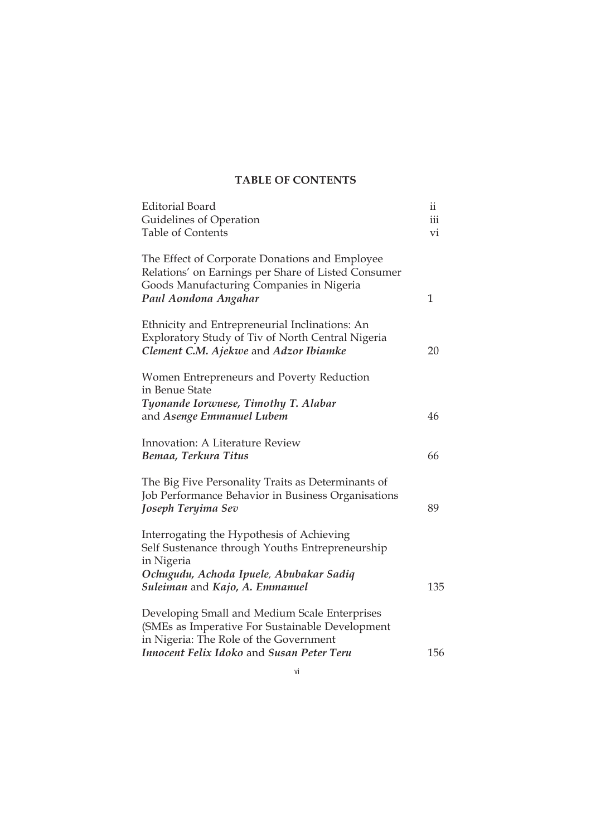# **TABLE OF CONTENTS**

| Editorial Board                                                                                                                                                           | ii  |
|---------------------------------------------------------------------------------------------------------------------------------------------------------------------------|-----|
| Guidelines of Operation                                                                                                                                                   | iii |
| <b>Table of Contents</b>                                                                                                                                                  | vi  |
| The Effect of Corporate Donations and Employee<br>Relations' on Earnings per Share of Listed Consumer<br>Goods Manufacturing Companies in Nigeria<br>Paul Aondona Angahar | 1   |
| Ethnicity and Entrepreneurial Inclinations: An<br>Exploratory Study of Tiv of North Central Nigeria<br>Clement C.M. Ajekwe and Adzor Ibiamke                              | 20  |
| Women Entrepreneurs and Poverty Reduction<br>in Benue State                                                                                                               |     |
| Tyonande Iorwuese, Timothy T. Alabar<br>and Asenge Emmanuel Lubem                                                                                                         | 46  |
| Innovation: A Literature Review                                                                                                                                           |     |
| Bemaa, Terkura Titus                                                                                                                                                      | 66  |
| The Big Five Personality Traits as Determinants of<br>Job Performance Behavior in Business Organisations<br>Joseph Teryima Sev                                            | 89  |
| Interrogating the Hypothesis of Achieving<br>Self Sustenance through Youths Entrepreneurship<br>in Nigeria                                                                |     |
| Ochugudu, Achoda Ipuele, Abubakar Sadiq<br>Suleiman and Kajo, A. Emmanuel                                                                                                 | 135 |
| Developing Small and Medium Scale Enterprises<br>(SMEs as Imperative For Sustainable Development<br>in Nigeria: The Role of the Government                                |     |
| Innocent Felix Idoko and Susan Peter Teru                                                                                                                                 | 156 |

vi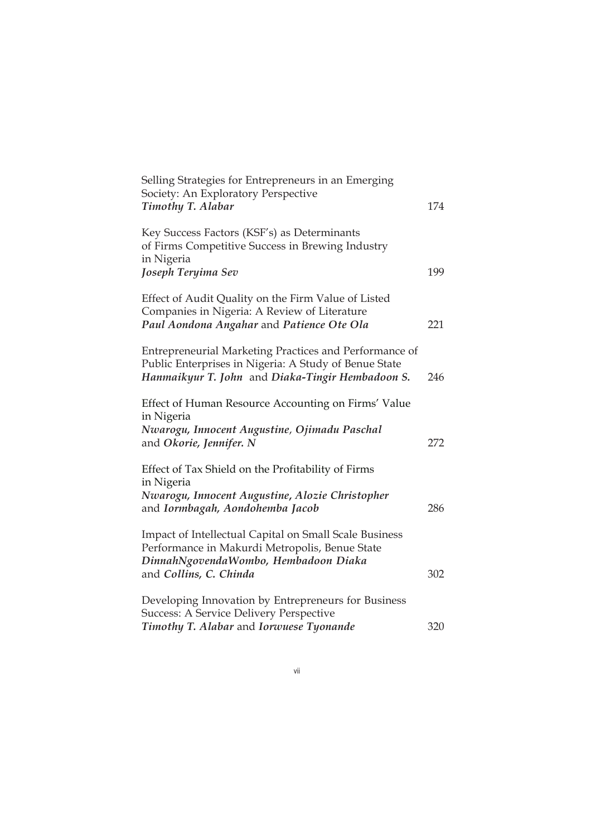| Selling Strategies for Entrepreneurs in an Emerging<br>Society: An Exploratory Perspective<br><b>Timothy T. Alabar</b>                                              | 174 |
|---------------------------------------------------------------------------------------------------------------------------------------------------------------------|-----|
| Key Success Factors (KSF's) as Determinants<br>of Firms Competitive Success in Brewing Industry<br>in Nigeria                                                       |     |
| Joseph Teryima Sev                                                                                                                                                  | 199 |
| Effect of Audit Quality on the Firm Value of Listed<br>Companies in Nigeria: A Review of Literature                                                                 |     |
| Paul Aondona Angahar and Patience Ote Ola                                                                                                                           | 221 |
| Entrepreneurial Marketing Practices and Performance of<br>Public Enterprises in Nigeria: A Study of Benue State<br>Hanmaikyur T. John and Diaka-Tingir Hembadoon S. | 246 |
| Effect of Human Resource Accounting on Firms' Value                                                                                                                 |     |
| in Nigeria<br>Nwarogu, Innocent Augustine, Ojimadu Paschal<br>and Okorie, Jennifer. N                                                                               | 272 |
| Effect of Tax Shield on the Profitability of Firms<br>in Nigeria                                                                                                    |     |
| Nwarogu, Innocent Augustine, Alozie Christopher<br>and Iormbagah, Aondohemba Jacob                                                                                  | 286 |
| Impact of Intellectual Capital on Small Scale Business<br>Performance in Makurdi Metropolis, Benue State<br>DinnahNgovendaWombo, Hembadoon Diaka                    | 302 |
| and Collins, C. Chinda                                                                                                                                              |     |
| Developing Innovation by Entrepreneurs for Business<br>Success: A Service Delivery Perspective                                                                      |     |
| Timothy T. Alabar and Iorwuese Tyonande                                                                                                                             | 320 |

vii